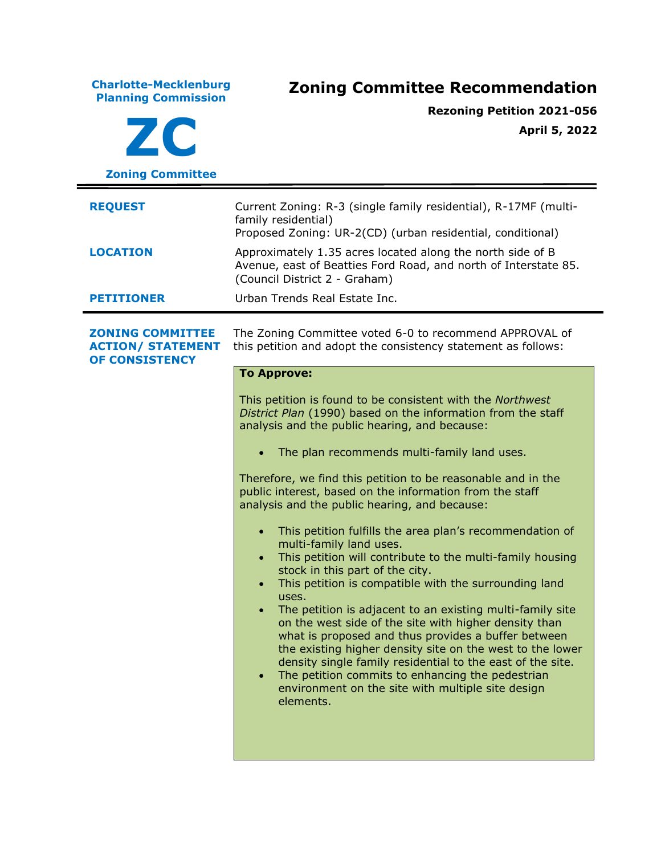**Charlotte-Mecklenburg Planning Commission Zoning Committee Recommendation ZC Zoning Committee Rezoning Petition 2021-056 April 5, 2022 REQUEST** Current Zoning: R-3 (single family residential), R-17MF (multifamily residential) Proposed Zoning: UR-2(CD) (urban residential, conditional) **LOCATION** Approximately 1.35 acres located along the north side of B Avenue, east of Beatties Ford Road, and north of Interstate 85. (Council District 2 - Graham) **PETITIONER** Urban Trends Real Estate Inc. **ZONING COMMITTEE ACTION/ STATEMENT OF CONSISTENCY** The Zoning Committee voted 6-0 to recommend APPROVAL of this petition and adopt the consistency statement as follows: **To Approve:** This petition is found to be consistent with the *Northwest District Plan* (1990) based on the information from the staff analysis and the public hearing, and because: • The plan recommends multi-family land uses. Therefore, we find this petition to be reasonable and in the public interest, based on the information from the staff analysis and the public hearing, and because: • This petition fulfills the area plan's recommendation of multi-family land uses. • This petition will contribute to the multi-family housing stock in this part of the city. • This petition is compatible with the surrounding land uses. • The petition is adjacent to an existing multi-family site on the west side of the site with higher density than what is proposed and thus provides a buffer between the existing higher density site on the west to the lower density single family residential to the east of the site. • The petition commits to enhancing the pedestrian environment on the site with multiple site design elements.